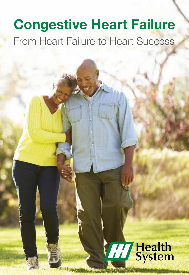# Congestive Heart Failure From Heart Failure to Heart Success

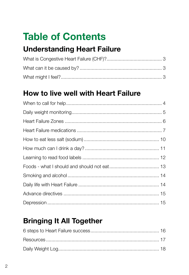# **Table of Contents**

## **Understanding Heart Failure**

## How to live well with Heart Failure

## **Bringing It All Together**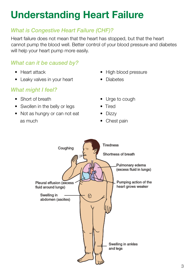# Understanding Heart Failure

## *What is Congestive Heart Failure (CHF)?*

Heart failure does not mean that the heart has stopped, but that the heart cannot pump the blood well. Better control of your blood pressure and diabetes will help your heart pump more easily.

## *What can it be caused by?*

- Heart attack
- Leaky valves in your heart

## *What might I feel?*

- Short of breath
- Swollen in the belly or legs
- Not as hungry or can not eat as much
- High blood pressure
- Diabetes
- Urge to cough
- Tired
- Dizzy
- Chest pain

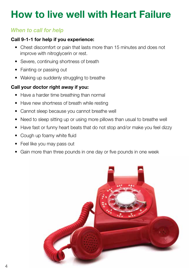# How to live well with Heart Failure

## *When to call for help*

#### Call 9-1-1 for help if you experience:

- Chest discomfort or pain that lasts more than 15 minutes and does not improve with nitroglycerin or rest.
- Severe, continuing shortness of breath
- Fainting or passing out
- Waking up suddenly struggling to breathe

#### Call your doctor right away if you:

- Have a harder time breathing than normal
- Have new shortness of breath while resting
- Cannot sleep because you cannot breathe well
- Need to sleep sitting up or using more pillows than usual to breathe well
- Have fast or funny heart beats that do not stop and/or make you feel dizzy
- Cough up foamy white fluid
- Feel like you may pass out
- Gain more than three pounds in one day or five pounds in one week

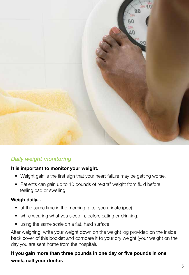

## *Daily weight monitoring*

#### It is important to monitor your weight.

- Weight gain is the first sign that your heart failure may be getting worse.
- Patients can gain up to 10 pounds of "extra" weight from fluid before feeling bad or swelling.

#### Weigh daily...

- at the same time in the morning, after you urinate (pee).
- while wearing what you sleep in, before eating or drinking.
- using the same scale on a flat, hard surface.

After weighing, write your weight down on the weight log provided on the inside back cover of this booklet and compare it to your dry weight (your weight on the day you are sent home from the hospital).

If you gain more than three pounds in one day or five pounds in one week, call your doctor.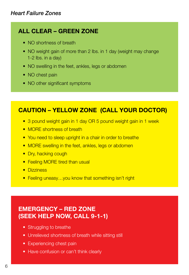## ALL CLEAR – GREEN ZONE

- NO shortness of breath
- NO weight gain of more than 2 lbs. in 1 day (weight may change 1-2 lbs. in a day)
- NO swelling in the feet, ankles, legs or abdomen
- NO chest pain
- NO other significant symptoms

## CAUTION – YELLOW ZONE (CALL YOUR DOCTOR)

- 3 pound weight gain in 1 day OR 5 pound weight gain in 1 week
- MORE shortness of breath
- You need to sleep upright in a chair in order to breathe
- MORE swelling in the feet, ankles, legs or abdomen
- Dry, hacking cough
- Feeling MORE tired than usual
- Dizziness
- Feeling uneasy...you know that something isn't right

## EMERGENCY – RED ZONE (SEEK HELP NOW, CALL 9-1-1)

- Struggling to breathe
- Unrelieved shortness of breath while sitting still
- Experiencing chest pain
- Have confusion or can't think clearly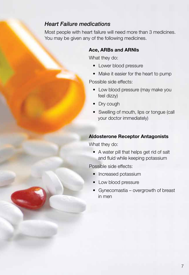#### *Heart Failure medications*

Most people with heart failure will need more than 3 medicines. You may be given any of the following medicines.

#### Ace, ARBs and ARNIs

What they do:

- Lower blood pressure
- Make it easier for the heart to pump

Possible side effects:

- Low blood pressure (may make you feel dizzy)
- Dry cough
- Swelling of mouth, lips or tongue (call your doctor immediately)

#### Aldosterone Receptor Antagonists

What they do:

• A water pill that helps get rid of salt and fluid while keeping potassium

Possible side effects:

- Increased potassium
- Low blood pressure
- Gynecomastia overgrowth of breast in men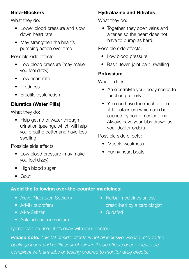#### Beta-Blockers

What they do:

- Lower blood pressure and slow down heart rate
- May strengthen the heart's pumping action over time

Possible side effects:

- Low blood pressure (may make you feel dizzy)
- Low heart rate
- Tiredness
- Erectile dysfunction

#### Diuretics (Water Pills)

What they do:

• Help get rid of water through urination (peeing), which will help you breathe better and have less swelling

Possible side effects:

- Low blood pressure (may make you feel dizzy)
- High blood sugar
- Gout

## Hydralazine and Nitrates

What they do:

• Together, they open veins and arteries so the heart does not have to pump as hard.

Possible side effects:

- Low blood pressure
- Rash, fever, joint pain, swelling

#### Potassium

What it does:

- An electrolyte your body needs to function properly
- You can have too much or too little potassium which can be caused by some medications. Always have your labs drawn as your doctor orders.

Possible side effects:

- Muscle weakness
- Funny heart beats

- Avoid the following over-the-counter medicines:
	- Aleve (Naproxen Sodium)
	- Advil (Ibuprofen)
	- Alka-Seltzer
	- Antacids high in sodium
- Herbal medicines unless prescribed by a cardiologist
- Sudafed

Tylenol can be used if it's okay with your doctor.

*Please note: This list of side effects is not all inclusive. Please refer to the package insert and notify your physician if side effects occur. Please be compliant with any labs or testing ordered to monitor drug effects.*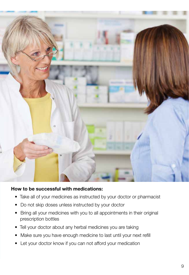

#### How to be successful with medications:

- Take all of your medicines as instructed by your doctor or pharmacist
- Do not skip doses unless instructed by your doctor
- Bring all your medicines with you to all appointments in their original prescription bottles
- Tell your doctor about any herbal medicines you are taking
- Make sure you have enough medicine to last until your next refill
- Let your doctor know if you can not afford your medication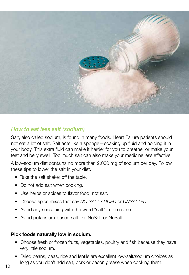

### *How to eat less salt (sodium)*

Salt, also called sodium, is found in many foods. Heart Failure patients should not eat a lot of salt. Salt acts like a sponge—soaking up fluid and holding it in your body. This extra fluid can make it harder for you to breathe, or make your feet and belly swell. Too much salt can also make your medicine less effective.

A low-sodium diet contains no more than 2,000 mg of sodium per day. Follow these tips to lower the salt in your diet.

- Take the salt shaker off the table.
- Do not add salt when cooking.
- Use herbs or spices to flavor food, not salt.
- Choose spice mixes that say *NO SALT ADDED* or *UNSALTED*.
- Avoid any seasoning with the word "salt" in the name.
- Avoid potassium-based salt like NoSalt or NuSalt

#### Pick foods naturally low in sodium.

- Choose fresh or frozen fruits, vegetables, poultry and fish because they have very little sodium.
- Dried beans, peas, rice and lentils are excellent low-salt/sodium choices as long as you don't add salt, pork or bacon grease when cooking them.<br>10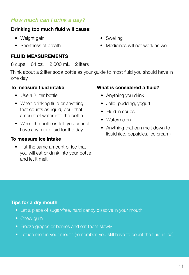## *How much can I drink a day?*

#### Drinking too much fluid will cause:

- Weight gain
- Shortness of breath

## FLUID MEASUREMENTS

8 cups =  $64$  oz. =  $2,000$  mL =  $2$  liters

Think about a 2 liter soda bottle as your guide to most fluid you should have in one day.

#### To measure fluid intake

- Use a 2 liter bottle
- When drinking fluid or anything that counts as liquid, pour that amount of water into the bottle
- When the bottle is full, you cannot have any more fluid for the day

#### To measure ice intake

• Put the same amount of ice that you will eat or drink into your bottle and let it melt

- Swelling
- Medicines will not work as well

#### What is considered a fluid?

- Anything you drink
- Jello, pudding, yogurt
- Fluid in soups
- Watermelon
- Anything that can melt down to liquid (ice, popsicles, ice cream)

## Tips for a dry mouth

- Let a piece of sugar-free, hard candy dissolve in your mouth
- Chew gum
- Freeze grapes or berries and eat them slowly
- Let ice melt in your mouth (remember, you still have to count the fluid in ice)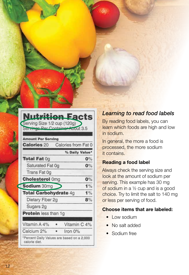| Selvings Per Containe                       | <b>About 3.5</b>    |       |
|---------------------------------------------|---------------------|-------|
| <b>Amount Per Serving</b>                   |                     |       |
| <b>Calories 20</b>                          | Calories from Fat 0 |       |
|                                             | % Daily Value*      |       |
| <b>Total Fat 0g</b>                         |                     | $0\%$ |
| Saturated Fat 0g                            |                     | $0\%$ |
| Trans Fat 0g                                |                     |       |
| <b>Cholesterol Omg</b>                      |                     | 0%    |
| Sodium 30mg                                 |                     | 1%    |
| <b>Total Carbohydrate 4g</b>                |                     | 1%    |
| Dietary Fiber 2g                            |                     | 8%    |
| Sugars 2g                                   |                     |       |
|                                             |                     |       |
|                                             |                     |       |
| <b>Protein</b> less than 1g<br>Vitamin A 4% | Vitamin C 4%        |       |

## *Learning to read food labels*

By reading food labels, you can learn which foods are high and low in sodium.

In general, the more a food is processed, the more sodium it contains.

## Reading a food label

Always check the serving size and look at the amount of sodium per serving. This example has 30 mg of sodium in a ½ cup and is a good choice. Try to limit the salt to 140 mg or less per serving of food.

## Choose items that are labeled:

- Low sodium
- No salt added
- Sodium free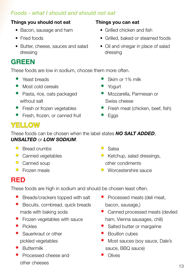## *Foods - what I should and should not eat*

#### Things you should not eat

- Bacon, sausage and ham
- Fried foods
- Butter, cheese, sauces and salad dressing

## GREEN

These foods are low in sodium, choose them more often.

- Yeast breads
- Most cold cereals
- Pasta, rice, oats packaged without salt
- Fresh or frozen vegetables
- Fresh, frozen, or canned fruit

#### Things you can eat

- Grilled chicken and fish
- Grilled, baked or steamed foods
- Oil and vinegar in place of salad dressing
- Skim or 1% milk
- Yogurt
- Mozzarella, Parmesan or Swiss cheese
- Fresh meat (chicken, beef, fish)
- Eggs

## **YELLOW**

These foods can be chosen when the label states *NO SALT ADDED*, *UNSALTED* or *LOW SODIUM*.

- Bread crumbs
- Canned vegetables
- Canned soup
- $\circ$  Frozen meals
- Salsa
- Ketchup, salad dressings, other condiments
- Worcestershire sauce

## RED

These foods are high in sodium and should be chosen least often.

- Breads/crackers topped with salt
- Biscuits, cornbread, quick breads made with baking soda
- Frozen vegetables with sauce
- Pickles
- Sauerkraut or other pickled vegetables
- Buttermilk
- Processed cheese and other cheeses
- Processed meats (deli meat, bacon, sausage,)
- Canned processed meats (deviled ham, Vienna sausages, chili)
- Salted butter or margarine
- Bouillon cubes
- Most sauces (soy sauce, Dale's sauce, BBQ sauce)
- **Olives**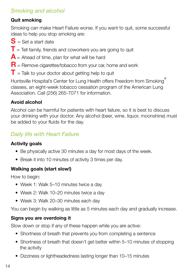## *Smoking and alcohol*

#### Quit smoking

Smoking can make Heart Failure worse. If you want to quit, some successful ideas to help you stop smoking are:

- $S =$  Set a start date
- $T$  = Tell family, friends and coworkers you are going to quit
- $\mathbf{A}$  = Ahead of time, plan for what will be hard
- $R$  = Remove cigarettes/tobacco from your car, home and work
- $T =$  Talk to your doctor about getting help to quit

Huntsville Hospital's Center for Lung Health offers Freedom from Smoking classes, an eight-week tobacco cessation program of the American Lung Association. Call (256) 265-7071 for information.

### Avoid alcohol

Alcohol can be harmful for patients with heart failure, so it is best to discuss your drinking with your doctor. Any alcohol (beer, wine, liquor, moonshine) must be added to your fluids for the day.

## *Daily life with Heart Failure*

#### Activity goals

- Be physically active 30 minutes a day for most days of the week.
- Break it into 10 minutes of activity 3 times per day.

#### Walking goals (start slow!)

How to begin:

- Week 1: Walk 5–10 minutes twice a day
- Week 2: Walk 10–20 minutes twice a day
- Week 3: Walk 20–30 minutes each day

You can begin by walking as little as 5 minutes each day and gradually increase.

## Signs you are overdoing it

Slow down or stop if any of these happen while you are active:

- Shortness of breath that prevents you from completing a sentence
- Shortness of breath that doesn't get better within 5–10 minutes of stopping the activity
- Dizziness or lightheadedness lasting longer than 10–15 minutes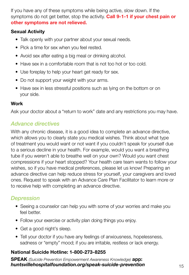If you have any of these symptoms while being active, slow down. If the symptoms do not get better, stop the activity. **Call 9-1-1 if your chest pain or** other symptoms are not relieved.

#### Sexual Activity

- Talk openly with your partner about your sexual needs.
- Pick a time for sex when you feel rested.
- Avoid sex after eating a big meal or drinking alcohol.
- Have sex in a comfortable room that is not too hot or too cold.
- Use foreplay to help your heart get ready for sex.
- Do not support your weight with your arms.
- Have sex in less stressful positions such as lying on the bottom or on your side.

#### Work

Ask your doctor about a "return to work" date and any restrictions you may have.

## *Advance directives*

With any chronic disease, it is a good idea to complete an advance directive, which allows you to clearly state you medical wishes. Think about what type of treatment you would want or not want if you couldn't speak for yourself due to a serious decline in your health. For example, would you want a breathing tube if you weren't able to breathe well on your own? Would you want chest compressions if your heart stopped? Your health care team wants to follow your wishes, so if you have medical preferences, please let us know! Preparing an advance directive can help reduce stress for yourself, your caregivers and loved ones. Request to speak with an Advance Care Plan Facilitator to learn more or to receive help with completing an advance directive.

## *Depression*

- Seeing a counselor can help you with some of your worries and make you feel better.
- Follow your exercise or activity plan doing things you enjoy.
- Get a good night's sleep.
- Tell your doctor if you have any feelings of anxiousness, hopelessness, sadness or "empty" mood; if you are irritable, restless or lack energy.

#### National Suicide Hotline: 1-800-273-8255

SPEAK *(Suicide Prevention Empowerment Awareness Knowledge)* app: *huntsvillehospitalfoundation.org/speak-suicide-prevention* 15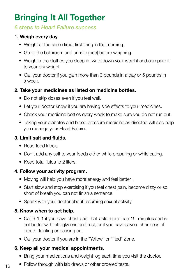# Bringing It All Together

## *6 steps to Heart Failure success*

#### 1. Weigh every day.

- Weight at the same time, first thing in the morning.
- Go to the bathroom and urinate (pee) before weighing.
- Weigh in the clothes you sleep in, write down your weight and compare it to your dry weight.
- Call your doctor if you gain more than 3 pounds in a day or 5 pounds in a week.

#### 2. Take your medicines as listed on medicine bottles.

- Do not skip doses even if you feel well.
- Let your doctor know if you are having side effects to your medicines.
- Check your medicine bottles every week to make sure you do not run out.
- Taking your diabetes and blood pressure medicine as directed will also help you manage your Heart Failure.

#### 3. Limit salt and fluids.

- Read food labels.
- Don't add any salt to your foods either while preparing or while eating.
- Keep total fluids to 2 liters.

#### 4. Follow your activity program.

- Moving will help you have more energy and feel better .
- Start slow and stop exercising if you feel chest pain, become dizzy or so short of breath you can not finish a sentence.
- Speak with your doctor about resuming sexual activity.

#### 5. Know when to get help.

- Call 9-1-1 if you have chest pain that lasts more than 15 minutes and is not better with nitroglycerin and rest, or if you have severe shortness of breath, fainting or passing out.
- Call your doctor if you are in the "Yellow" or "Red" Zone.

#### 6. Keep all your medical appointments.

- Bring your medications and weight log each time you visit the doctor.
- $16$  Follow through with lab draws or other ordered tests.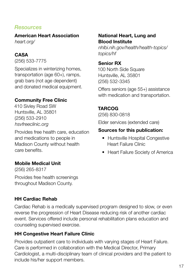## *Resources*

American Heart Association *heart.org/*

#### CASA

(256) 533-7775

Specializes in winterizing homes, transportation (age 60+), ramps, grab bars (not age dependent) and donated medical equipment.

#### Community Free Clinic

410 Sivley Road SW Huntsville, AL 35801 (256) 533-2910 *hsvfreeclinic.org*

Provides free health care, education and medications to people in Madison County without health care benefits.

#### Mobile Medical Unit

(256) 265-8317

Provides free health screenings throughout Madison County.

#### HH Cardiac Rehab

Cardiac Rehab is a medically supervised program designed to slow, or even reverse the progression of Heart Disease reducing risk of another cardiac event. Services offered include personal rehabilitation plans education and counseling supervised exercise.

#### HH Congestive Heart Failure Clinic

Provides outpatient care to individuals with varying stages of Heart Failure. Care is performed in collaboration with the Medical Director, Primary Cardiologist, a multi-disciplinary team of clinical providers and the patient to include his/her support members.

#### National Heart, Lung and Blood Institute

*nhlbi.nih.gov/health/health-topics/ topics/hf*

#### Senior RX

100 North Side Square Huntsville, AL 35801 (256) 532-3345

Offers seniors (age 55+) assistance with medication and transportation.

#### TARCOG

(256) 830-0818

Elder services (extended care)

#### Sources for this publication:

- Huntsville Hospital Congestive Heart Failure Clinic
- Heart Failure Society of America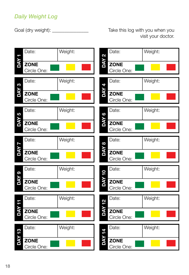## *Daily Weight Log*

Goal (dry weight): \_\_\_\_\_\_\_\_\_\_\_\_\_\_\_ Take this log with you when you visit your doctor.

![](_page_17_Figure_3.jpeg)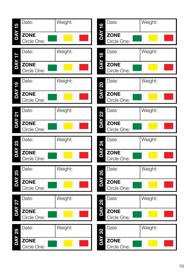![](_page_18_Figure_0.jpeg)